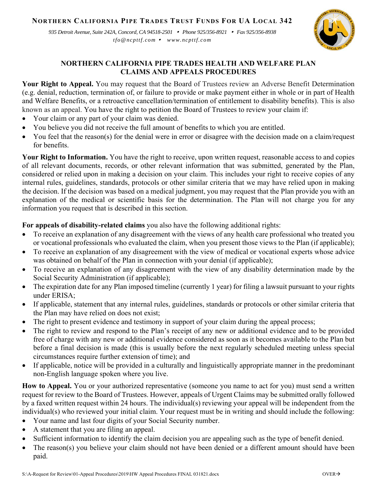## **NORTHERN CALIFORNIA PIPE TRADES TRUST FUNDS FOR UA LOCAL 342**

*935 Detroit Avenue, Suite 242A, Concord, CA 94518-2501 Phone 925/356-8921 Fax 925/356-8938 tfo@ncpttf.com www.ncpttf.com*



## **NORTHERN CALIFORNIA PIPE TRADES HEALTH AND WELFARE PLAN CLAIMS AND APPEALS PROCEDURES**

**Your Right to Appeal.** You may request that the Board of Trustees review an Adverse Benefit Determination (e.g. denial, reduction, termination of, or failure to provide or make payment either in whole or in part of Health and Welfare Benefits, or a retroactive cancellation/termination of entitlement to disability benefits). This is also known as an appeal. You have the right to petition the Board of Trustees to review your claim if:

- Your claim or any part of your claim was denied.
- You believe you did not receive the full amount of benefits to which you are entitled.
- You feel that the reason(s) for the denial were in error or disagree with the decision made on a claim/request for benefits.

**Your Right to Information.** You have the right to receive, upon written request, reasonable access to and copies of all relevant documents, records, or other relevant information that was submitted, generated by the Plan, considered or relied upon in making a decision on your claim. This includes your right to receive copies of any internal rules, guidelines, standards, protocols or other similar criteria that we may have relied upon in making the decision. If the decision was based on a medical judgment, you may request that the Plan provide you with an explanation of the medical or scientific basis for the determination. The Plan will not charge you for any information you request that is described in this section.

## **For appeals of disability-related claims** you also have the following additional rights:

- To receive an explanation of any disagreement with the views of any health care professional who treated you or vocational professionals who evaluated the claim, when you present those views to the Plan (if applicable);
- To receive an explanation of any disagreement with the view of medical or vocational experts whose advice was obtained on behalf of the Plan in connection with your denial (if applicable);
- To receive an explanation of any disagreement with the view of any disability determination made by the Social Security Administration (if applicable);
- The expiration date for any Plan imposed timeline (currently 1 year) for filing a lawsuit pursuant to your rights under ERISA;
- If applicable, statement that any internal rules, guidelines, standards or protocols or other similar criteria that the Plan may have relied on does not exist;
- The right to present evidence and testimony in support of your claim during the appeal process;
- The right to review and respond to the Plan's receipt of any new or additional evidence and to be provided free of charge with any new or additional evidence considered as soon as it becomes available to the Plan but before a final decision is made (this is usually before the next regularly scheduled meeting unless special circumstances require further extension of time); and
- If applicable, notice will be provided in a culturally and linguistically appropriate manner in the predominant non-English language spoken where you live.

**How to Appeal.** You or your authorized representative (someone you name to act for you) must send a written request for review to the Board of Trustees. However, appeals of Urgent Claims may be submitted orally followed by a faxed written request within 24 hours. The individual(s) reviewing your appeal will be independent from the individual(s) who reviewed your initial claim. Your request must be in writing and should include the following:

- Your name and last four digits of your Social Security number.
- A statement that you are filing an appeal.
- Sufficient information to identify the claim decision you are appealing such as the type of benefit denied.
- The reason(s) you believe your claim should not have been denied or a different amount should have been paid.